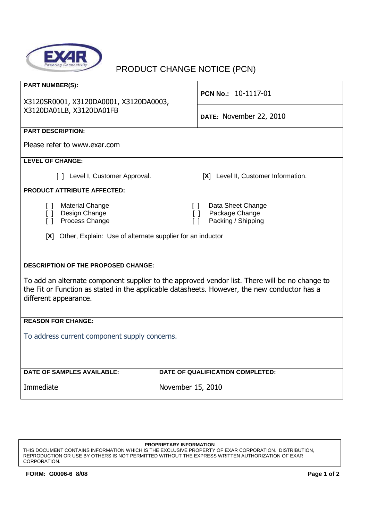

## PRODUCT CHANGE NOTICE (PCN)

| <b>PART NUMBER(S):</b><br>X3120SR0001, X3120DA0001, X3120DA0003,<br>X3120DA01LB, X3120DA01FB                                                                                                                            | PCN No.: 10-1117-01                                                                                                                |  |
|-------------------------------------------------------------------------------------------------------------------------------------------------------------------------------------------------------------------------|------------------------------------------------------------------------------------------------------------------------------------|--|
|                                                                                                                                                                                                                         | DATE: November 22, 2010                                                                                                            |  |
| <b>PART DESCRIPTION:</b>                                                                                                                                                                                                |                                                                                                                                    |  |
| Please refer to www.exar.com                                                                                                                                                                                            |                                                                                                                                    |  |
| <b>LEVEL OF CHANGE:</b>                                                                                                                                                                                                 |                                                                                                                                    |  |
| [ ] Level I, Customer Approval.                                                                                                                                                                                         | [X] Level II, Customer Information.                                                                                                |  |
| <b>PRODUCT ATTRIBUTE AFFECTED:</b>                                                                                                                                                                                      |                                                                                                                                    |  |
| <b>Material Change</b><br>$\Box$<br>[ ] Design Change<br>Process Change<br>$\lceil$ $\rceil$                                                                                                                            | Data Sheet Change<br>$\begin{array}{c} \square \end{array}$<br>Package Change<br>$\Box$<br>Packing / Shipping<br>$\lceil$ $\rceil$ |  |
| [X] Other, Explain: Use of alternate supplier for an inductor                                                                                                                                                           |                                                                                                                                    |  |
|                                                                                                                                                                                                                         |                                                                                                                                    |  |
|                                                                                                                                                                                                                         |                                                                                                                                    |  |
| <b>DESCRIPTION OF THE PROPOSED CHANGE:</b>                                                                                                                                                                              |                                                                                                                                    |  |
| To add an alternate component supplier to the approved vendor list. There will be no change to<br>the Fit or Function as stated in the applicable datasheets. However, the new conductor has a<br>different appearance. |                                                                                                                                    |  |
| <b>REASON FOR CHANGE:</b>                                                                                                                                                                                               |                                                                                                                                    |  |
| To address current component supply concerns.                                                                                                                                                                           |                                                                                                                                    |  |
|                                                                                                                                                                                                                         |                                                                                                                                    |  |
| <b>DATE OF SAMPLES AVAILABLE:</b>                                                                                                                                                                                       | DATE OF QUALIFICATION COMPLETED:                                                                                                   |  |
| Immediate                                                                                                                                                                                                               | November 15, 2010                                                                                                                  |  |

**PROPRIETARY INFORMATION**

THIS DOCUMENT CONTAINS INFORMATION WHICH IS THE EXCLUSIVE PROPERTY OF EXAR CORPORATION. DISTRIBUTION, REPRODUCTION OR USE BY OTHERS IS NOT PERMITTED WITHOUT THE EXPRESS WRITTEN AUTHORIZATION OF EXAR CORPORATION.